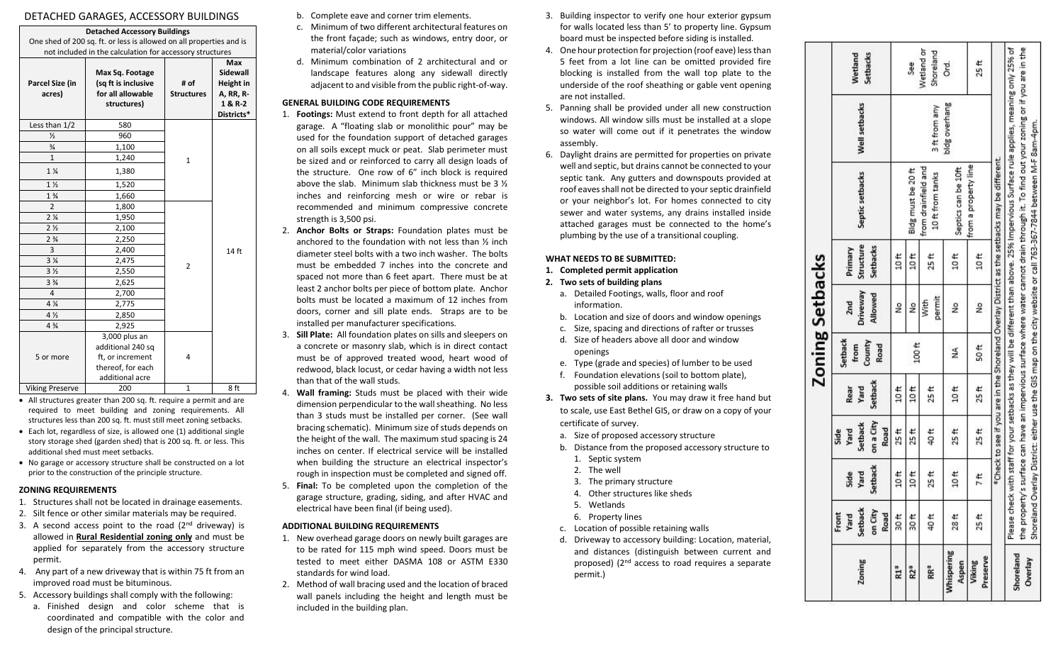# DETACHED GARAGES, ACCESSORY BUILDINGS

|                                                                                                             | DETACHED GARAGES, ACCESSORY BUILDINGS                                                                                                                                  |                                                                             |                           |                                                                                  |  |  |  |
|-------------------------------------------------------------------------------------------------------------|------------------------------------------------------------------------------------------------------------------------------------------------------------------------|-----------------------------------------------------------------------------|---------------------------|----------------------------------------------------------------------------------|--|--|--|
|                                                                                                             | <b>Detached Accessory Buildings</b><br>One shed of 200 sq. ft. or less is allowed on all properties and is<br>not included in the calculation for accessory structures |                                                                             |                           |                                                                                  |  |  |  |
| Parcel Size (in<br>acres)                                                                                   |                                                                                                                                                                        | Max Sq. Footage<br>(sq ft is inclusive<br>for all allowable<br>structures)  | # of<br><b>Structures</b> | <b>Max</b><br>Sidewall<br>Height in<br><b>A, RR, R-</b><br>1 & R-2<br>Districts* |  |  |  |
|                                                                                                             | Less than 1/2                                                                                                                                                          | 580                                                                         |                           |                                                                                  |  |  |  |
| $\frac{1}{2}$<br>$\frac{3}{4}$<br>$\mathbf{1}$<br>$1\frac{1}{4}$                                            |                                                                                                                                                                        | 960                                                                         |                           |                                                                                  |  |  |  |
|                                                                                                             |                                                                                                                                                                        | 1,100                                                                       |                           |                                                                                  |  |  |  |
|                                                                                                             |                                                                                                                                                                        | 1,240<br>$\mathbf{1}$                                                       |                           |                                                                                  |  |  |  |
|                                                                                                             |                                                                                                                                                                        | 1,380                                                                       |                           |                                                                                  |  |  |  |
|                                                                                                             | 1 <sub>2</sub>                                                                                                                                                         | 1,520                                                                       |                           |                                                                                  |  |  |  |
|                                                                                                             | $1\frac{3}{4}$                                                                                                                                                         | 1,660                                                                       |                           |                                                                                  |  |  |  |
|                                                                                                             | $\overline{2}$                                                                                                                                                         | 1,800                                                                       |                           |                                                                                  |  |  |  |
|                                                                                                             | 2 <sub>4</sub>                                                                                                                                                         | 1,950                                                                       |                           |                                                                                  |  |  |  |
|                                                                                                             | 2 <sub>2</sub>                                                                                                                                                         | 2,100                                                                       |                           |                                                                                  |  |  |  |
| $2\frac{3}{4}$<br>3<br>3 <sub>4</sub><br>3 <sub>2</sub><br>3 <sup>3</sup> / <sub>4</sub><br>4<br>4 %<br>4 % |                                                                                                                                                                        | 2,250<br>2,400                                                              |                           |                                                                                  |  |  |  |
|                                                                                                             |                                                                                                                                                                        |                                                                             |                           | 14 ft                                                                            |  |  |  |
|                                                                                                             |                                                                                                                                                                        | 2,475                                                                       |                           |                                                                                  |  |  |  |
|                                                                                                             |                                                                                                                                                                        | $\overline{2}$<br>2,550                                                     |                           |                                                                                  |  |  |  |
|                                                                                                             |                                                                                                                                                                        | 2,625                                                                       |                           |                                                                                  |  |  |  |
|                                                                                                             |                                                                                                                                                                        | 2,700                                                                       |                           |                                                                                  |  |  |  |
|                                                                                                             |                                                                                                                                                                        | 2,775                                                                       |                           |                                                                                  |  |  |  |
|                                                                                                             |                                                                                                                                                                        | 2,850                                                                       |                           |                                                                                  |  |  |  |
|                                                                                                             | $4\frac{3}{4}$                                                                                                                                                         | 2,925                                                                       |                           |                                                                                  |  |  |  |
| 5 or more                                                                                                   |                                                                                                                                                                        | 3,000 plus an<br>additional 240 sq<br>ft, or increment<br>thereof, for each | 4                         |                                                                                  |  |  |  |
|                                                                                                             | <b>Viking Preserve</b>                                                                                                                                                 | additional acre<br>200                                                      | $\mathbf{1}$              | 8 ft                                                                             |  |  |  |
|                                                                                                             |                                                                                                                                                                        |                                                                             |                           |                                                                                  |  |  |  |

- All structures greater than 200 sq. ft. require a permit and are required to meet building and zoning requirements. All structures less than 200 sq. ft. must still meet zoning setbacks.
- Each lot, regardless of size, is allowed one (1) additional single story storage shed (garden shed) that is 200 sq. ft. or less. This additional shed must meet setbacks.
- No garage or accessory structure shall be constructed on a lot prior to the construction of the principle structure.

# **ZONING REQUIREMENTS**

- 1. Structures shall not be located in drainage easements.
- 2. Silt fence or other similar materials may be required.
- 3. A second access point to the road  $(2<sup>nd</sup>$  driveway) is allowed in **Rural Residential zoning only** and must be applied for separately from the accessory structure permit.
- 4. Any part of a new driveway that is within 75 ft from an improved road must be bituminous.
- 5. Accessory buildings shall comply with the following:
	- a. Finished design and color scheme that is coordinated and compatible with the color and design of the principal structure.
- b. Complete eave and corner trim elements.
- c. Minimum of two different architectural features on the front façade; such as windows, entry door, or material/color variations
- d. Minimum combination of 2 architectural and or landscape features along any sidewall directly adjacent to and visible from the public right-of-way.

#### **GENERAL BUILDING CODE REQUIREMENTS**

- 1. **Footings:** Must extend to front depth for all attached garage. A "floating slab or monolithic pour" may be used for the foundation support of detached garages on all soils except muck or peat. Slab perimeter must be sized and or reinforced to carry all design loads of the structure. One row of 6" inch block is required above the slab. Minimum slab thickness must be 3 ½ inches and reinforcing mesh or wire or rebar is recommended and minimum compressive concrete strength is 3,500 psi.
- 2. **Anchor Bolts or Straps:** Foundation plates must be anchored to the foundation with not less than ½ inch diameter steel bolts with a two inch washer.The bolts must be embedded 7 inches into the concrete and spaced not more than 6 feet apart. There must be at least 2 anchor bolts per piece of bottom plate. Anchor bolts must be located a maximum of 12 inches from doors, corner and sill plate ends. Straps are to be installed per manufacturer specifications.
- 3. **Sill Plate:** All foundation plates on sills and sleepers on a concrete or masonry slab, which is in direct contact must be of approved treated wood, heart wood of redwood, black locust, or cedar having a width not less than that of the wall studs.
- 4. **Wall framing:** Studs must be placed with their wide dimension perpendicular to the wall sheathing. No less than 3 studs must be installed per corner. (See wall bracing schematic). Minimum size of studs depends on the height of the wall. The maximum stud spacing is 24 inches on center. If electrical service will be installed when building the structure an electrical inspector's rough in inspection must be completed and signed off.
- 5. **Final:** To be completed upon the completion of the garage structure, grading, siding, and after HVAC and electrical have been final (if being used).

#### **ADDITIONAL BUILDING REQUIREMENTS**

- 1. New overhead garage doors on newly built garages are to be rated for 115 mph wind speed. Doors must be tested to meet either DASMA 108 or ASTM E330 standards for wind load.
- 2. Method of wall bracing used and the location of braced wall panels including the height and length must be included in the building plan.
- 3. Building inspector to verify one hour exterior gypsum for walls located less than 5' to property line. Gypsum board must be inspected before siding is installed.
- 4. One hour protection for projection (roof eave) less than 5 feet from a lot line can be omitted provided fire blocking is installed from the wall top plate to the underside of the roof sheathing or gable vent opening are not installed.
- 5. Panning shall be provided under all new construction windows. All window sills must be installed at a slope so water will come out if it penetrates the window assembly.
- 6. Daylight drains are permitted for properties on private well and septic, but drains cannot be connected to your septic tank. Any gutters and downspouts provided at roof eaves shall not be directed to your septic drainfield or your neighbor's lot. For homes connected to city sewer and water systems, any drains installed inside attached garages must be connected to the home's plumbing by the use of a transitional coupling.

# **WHAT NEEDS TO BE SUBMITTED:**

**1. Completed permit application**

# **2. Two sets of building plans**

- a. Detailed Footings, walls, floor and roof information.
- b. Location and size of doors and window openings
- c. Size, spacing and directions of rafter or trusses
- d. Size of headers above all door and window openings
- e. Type (grade and species) of lumber to be used
- f. Foundation elevations (soil to bottom plate), possible soil additions or retaining walls
- **3. Two sets of site plans.** You may draw it free hand but to scale, use East Bethel GIS, or draw on a copy of your certificate of survey.
	- a. Size of proposed accessory structure
	- b. Distance from the proposed accessory structure to
		- 1. Septic system
	- 2. The well
	- 3. The primary structure
	- 4. Other structures like sheds
	- 5. Wetlands
	- 6. Property lines
	- c. Location of possible retaining walls
	- d. Driveway to accessory building: Location, material, and distances (distinguish between current and proposed) (2nd access to road requires a separate permit.)

|                      |                                            |                         |                                              |                         |                                   | <b>Zoning Setbacks</b>                 |                                  |                                                                                                                                                                                                                                                                                     |               |                         |
|----------------------|--------------------------------------------|-------------------------|----------------------------------------------|-------------------------|-----------------------------------|----------------------------------------|----------------------------------|-------------------------------------------------------------------------------------------------------------------------------------------------------------------------------------------------------------------------------------------------------------------------------------|---------------|-------------------------|
| Zoning               | on City<br>Road<br>Front<br>Setbac<br>Yard | Setback<br>Side<br>Yard | on a City<br>Setback<br>Road<br>Side<br>Yard | Setback<br>Yard<br>Rear | Setback<br>County<br>Road<br>from | Driveway<br>Allowed<br>2 <sub>nd</sub> | Structure<br>Setbacks<br>Primary | Septic setbacks                                                                                                                                                                                                                                                                     | Well setbacks | Wetland<br>Setbacks     |
| R1*                  | 30 <sub>ft</sub>                           | 10 <sub>ft</sub>        | 25 ft                                        | 10 ft                   |                                   | ž                                      | 10 ft                            |                                                                                                                                                                                                                                                                                     |               |                         |
| R2*                  | 30 ft                                      | 10 <sup>th</sup>        | 25 ft                                        | 10 <sub>ft</sub>        | 100 <sub>ft</sub>                 | g                                      | 10 ft                            | Bidg must be 20 ft                                                                                                                                                                                                                                                                  |               | <b>See</b>              |
| Ĩ                    | 40 ft                                      | 25 ft                   | 40 ft                                        | 25 ft                   |                                   | permit<br>With                         | 25 ft                            | from drainfield and<br>10 ft from tanks                                                                                                                                                                                                                                             | 3 ft from any | Wetland or<br>Shoreland |
| Whispering<br>Aspen  | 28 ft                                      | 10 <sub>ft</sub>        | 25 ft                                        | $10$ ft                 | ₹                                 | å                                      | 10 ft                            | Septics can be 10ft                                                                                                                                                                                                                                                                 | bidg overhang | Ō.                      |
| Preserve<br>Viking   | 25 ft                                      | 7 ft                    | 25 ft                                        | 25 <sub>ft</sub>        | 50 ft                             | å                                      | 10 <sub>ft</sub>                 | from a property line                                                                                                                                                                                                                                                                |               | 25 ft                   |
|                      |                                            |                         |                                              |                         |                                   |                                        |                                  | Check to see if you are in the Shoreland Overlay District as the setbacks may be different.                                                                                                                                                                                         |               |                         |
| Shoreland<br>Overlay |                                            |                         |                                              |                         |                                   |                                        |                                  | Please check with staff for your setbacks as they will be different than above. 25% Impervious Surface rule applies, meaning only 25% of<br>the property's surface can have an impervious surface where water cannot drain through it. To find out your zoning or if you are in the |               |                         |
|                      | Shorela                                    |                         |                                              |                         |                                   |                                        |                                  | nd Overlay District: either use the GIS map on the city website or call 763-367-7844 between M-F 8am-4pm.                                                                                                                                                                           |               |                         |